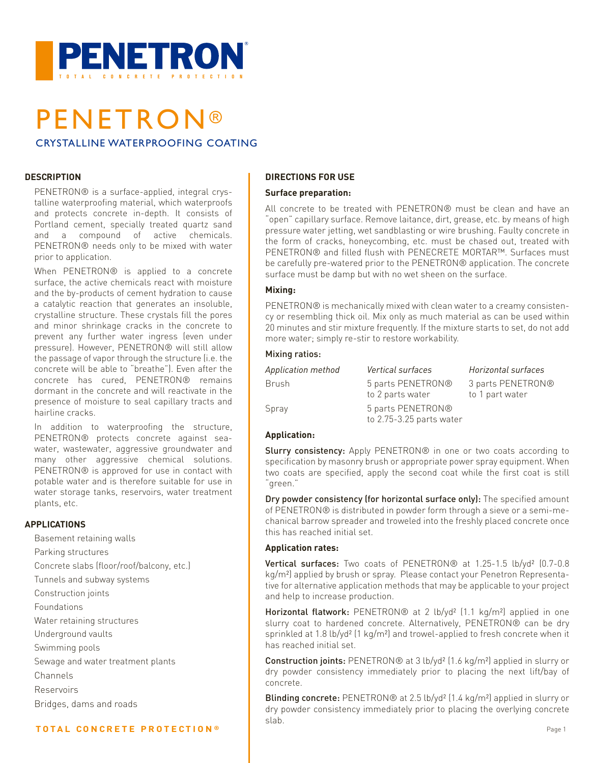

# **PENETRON®** CRYSTALLINE WATERPROOFING COATING

### **DESCRIPTION**

PENETRON® is a surface-applied, integral crystalline waterproofing material, which waterproofs and protects concrete in-depth. It consists of Portland cement, specially treated quartz sand and a compound of active chemicals. PENETRON® needs only to be mixed with water prior to application.

When PENETRON® is applied to a concrete surface, the active chemicals react with moisture and the by-products of cement hydration to cause a catalytic reaction that generates an insoluble, crystalline structure. These crystals fill the pores and minor shrinkage cracks in the concrete to prevent any further water ingress (even under pressure). However, PENETRON® will still allow the passage of vapor through the structure (i.e. the concrete will be able to "breathe"). Even after the concrete has cured, PENETRON® remains dormant in the concrete and will reactivate in the presence of moisture to seal capillary tracts and hairline cracks.

In addition to waterproofing the structure, PENETRON® protects concrete against seawater, wastewater, aggressive groundwater and many other aggressive chemical solutions. PENETRON® is approved for use in contact with potable water and is therefore suitable for use in water storage tanks, reservoirs, water treatment plants, etc.

### **APPLICATIONS**

Basement retaining walls Parking structures Concrete slabs (floor/roof/balcony, etc.) Tunnels and subway systems Construction joints Foundations Water retaining structures Underground vaults Swimming pools Sewage and water treatment plants Channels Reservoirs Bridges, dams and roads

### **TOTAL CONCRETE PROTECTION ®**

## **DIRECTIONS FOR USE**

### **Surface preparation:**

All concrete to be treated with PENETRON® must be clean and have an "open" capillary surface. Remove laitance, dirt, grease, etc. by means of high pressure water jetting, wet sandblasting or wire brushing. Faulty concrete in the form of cracks, honeycombing, etc. must be chased out, treated with PENETRON® and filled flush with PENECRETE MORTAR™. Surfaces must be carefully pre-watered prior to the PENETRON® application. The concrete surface must be damp but with no wet sheen on the surface.

### **Mixing:**

PENETRON® is mechanically mixed with clean water to a creamy consistency or resembling thick oil. Mix only as much material as can be used within 20 minutes and stir mixture frequently. If the mixture starts to set, do not add more water; simply re-stir to restore workability.

### Mixing ratios:

| <b>Application method</b> | <i>Vertical surfaces</i>                      | Horizontal surfaces |
|---------------------------|-----------------------------------------------|---------------------|
| Brush                     | 5 parts PENETRON®                             | 3 parts PENETRON®   |
|                           | to 2 parts water                              | to 1 part water     |
| Spray                     | 5 parts PENETRON®<br>to 2.75-3.25 parts water |                     |

### **Application:**

Slurry consistency: Apply PENETRON® in one or two coats according to specification by masonry brush or appropriate power spray equipment. When two coats are specified, apply the second coat while the first coat is still "green."

Dry powder consistency (for horizontal surface only): The specified amount of PENETRON® is distributed in powder form through a sieve or a semi-mechanical barrow spreader and troweled into the freshly placed concrete once this has reached initial set.

### **Application rates:**

Vertical surfaces: Two coats of PENETRON® at 1.25-1.5 lb/yd<sup>2</sup> (0.7-0.8) kg/m²) applied by brush or spray. Please contact your Penetron Representative for alternative application methods that may be applicable to your project and help to increase production.

Horizontal flatwork: PENETRON® at 2 lb/yd<sup>2</sup> (1.1 kg/m<sup>2</sup>) applied in one slurry coat to hardened concrete. Alternatively, PENETRON® can be dry sprinkled at 1.8 lb/yd<sup>2</sup> (1 kg/m<sup>2</sup>) and trowel-applied to fresh concrete when it has reached initial set.

Construction joints: PENETRON® at 3 lb/yd² (1.6 kg/m²) applied in slurry or dry powder consistency immediately prior to placing the next lift/bay of concrete.

Blinding concrete: PENETRON® at 2.5 lb/yd<sup>2</sup> (1.4 kg/m<sup>2</sup>) applied in slurry or dry powder consistency immediately prior to placing the overlying concrete slab.